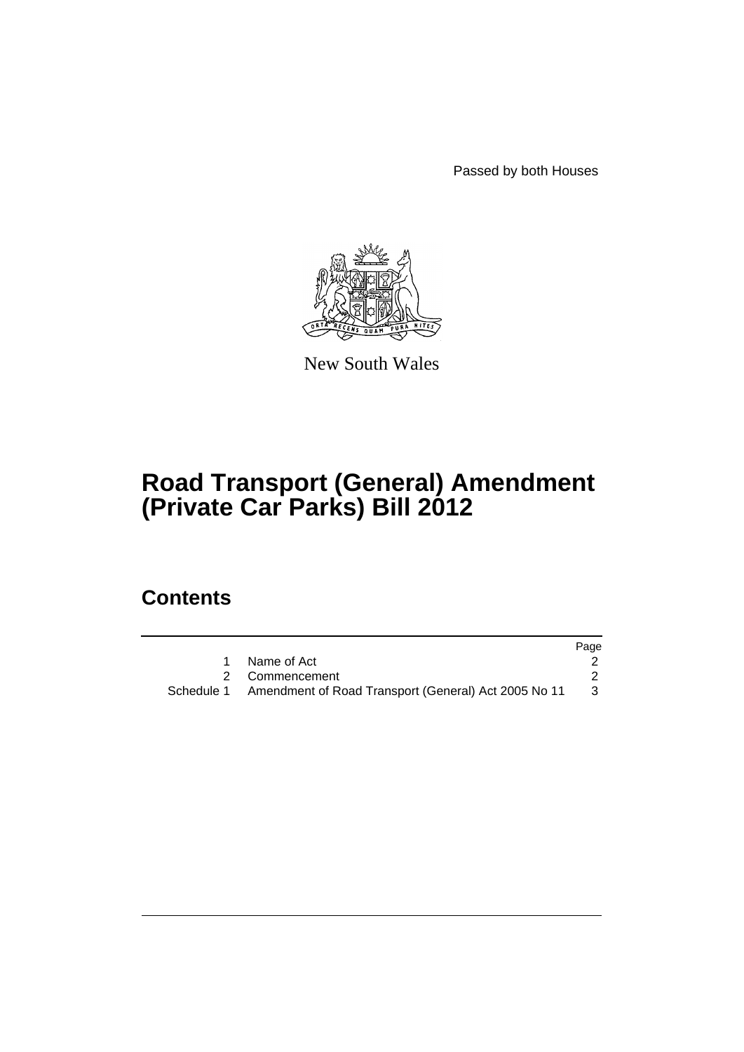Passed by both Houses



New South Wales

# **Road Transport (General) Amendment (Private Car Parks) Bill 2012**

## **Contents**

|                                                                 | Page |
|-----------------------------------------------------------------|------|
| Name of Act                                                     |      |
| 2 Commencement                                                  |      |
| Schedule 1 Amendment of Road Transport (General) Act 2005 No 11 | -3   |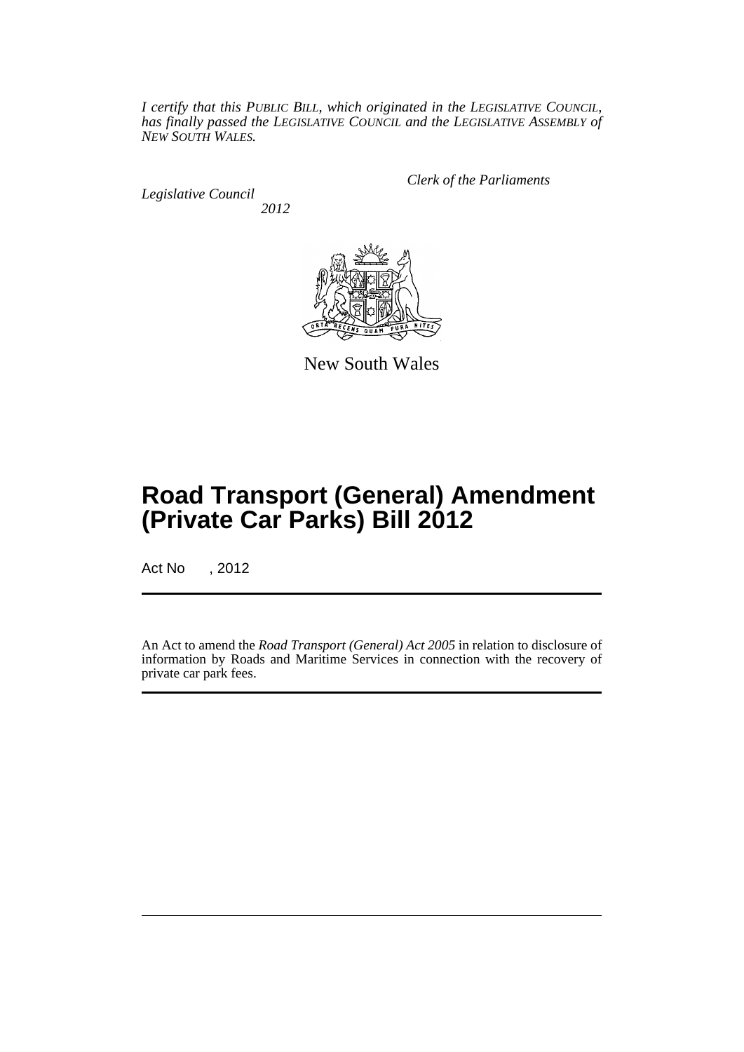*I certify that this PUBLIC BILL, which originated in the LEGISLATIVE COUNCIL, has finally passed the LEGISLATIVE COUNCIL and the LEGISLATIVE ASSEMBLY of NEW SOUTH WALES.*

*Legislative Council 2012* *Clerk of the Parliaments*



New South Wales

## **Road Transport (General) Amendment (Private Car Parks) Bill 2012**

Act No , 2012

An Act to amend the *Road Transport (General) Act 2005* in relation to disclosure of information by Roads and Maritime Services in connection with the recovery of private car park fees.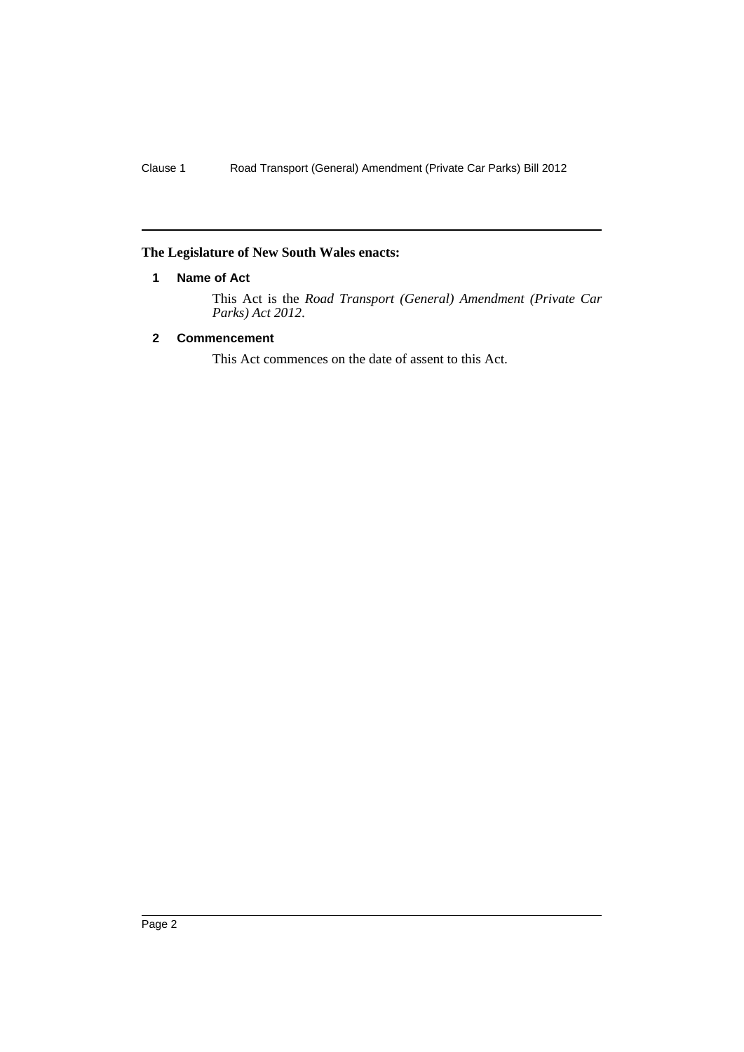### <span id="page-3-0"></span>**The Legislature of New South Wales enacts:**

#### **1 Name of Act**

This Act is the *Road Transport (General) Amendment (Private Car Parks) Act 2012*.

### <span id="page-3-1"></span>**2 Commencement**

This Act commences on the date of assent to this Act.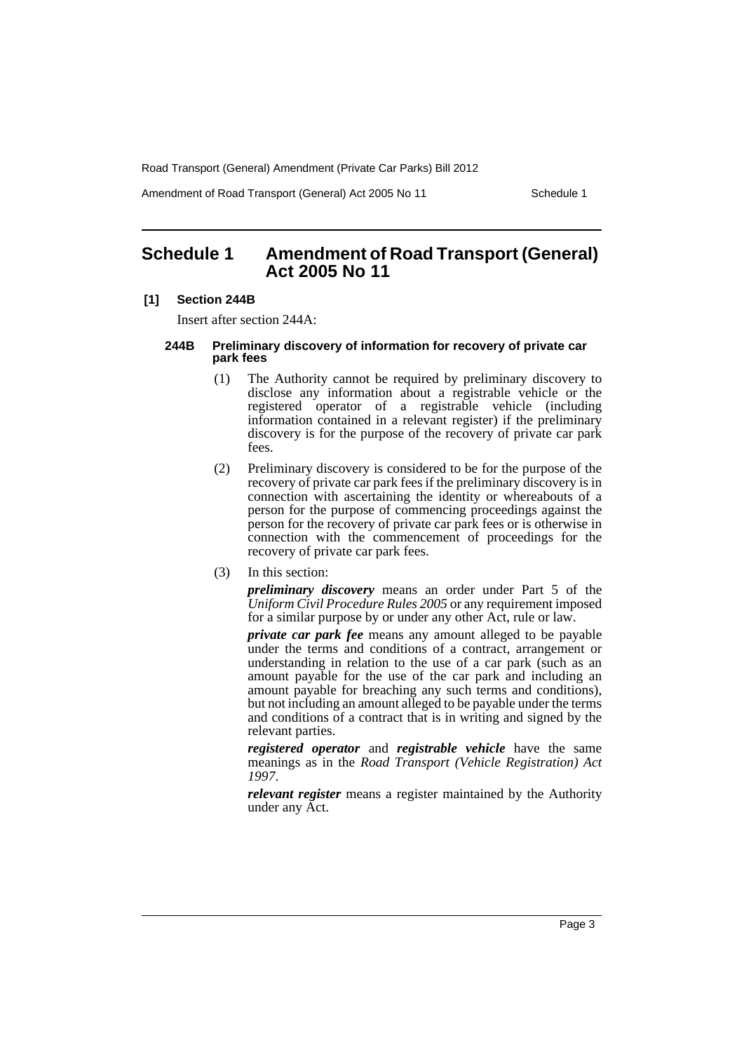Road Transport (General) Amendment (Private Car Parks) Bill 2012

Amendment of Road Transport (General) Act 2005 No 11 Schedule 1

## <span id="page-4-0"></span>**Schedule 1 Amendment of Road Transport (General) Act 2005 No 11**

#### **[1] Section 244B**

Insert after section 244A:

#### **244B Preliminary discovery of information for recovery of private car park fees**

- (1) The Authority cannot be required by preliminary discovery to disclose any information about a registrable vehicle or the registered operator of a registrable vehicle (including information contained in a relevant register) if the preliminary discovery is for the purpose of the recovery of private car park fees.
- (2) Preliminary discovery is considered to be for the purpose of the recovery of private car park fees if the preliminary discovery is in connection with ascertaining the identity or whereabouts of a person for the purpose of commencing proceedings against the person for the recovery of private car park fees or is otherwise in connection with the commencement of proceedings for the recovery of private car park fees.
- (3) In this section:

*preliminary discovery* means an order under Part 5 of the *Uniform Civil Procedure Rules 2005* or any requirement imposed for a similar purpose by or under any other Act, rule or law.

*private car park fee* means any amount alleged to be payable under the terms and conditions of a contract, arrangement or understanding in relation to the use of a car park (such as an amount payable for the use of the car park and including an amount payable for breaching any such terms and conditions), but not including an amount alleged to be payable under the terms and conditions of a contract that is in writing and signed by the relevant parties.

*registered operator* and *registrable vehicle* have the same meanings as in the *Road Transport (Vehicle Registration) Act 1997*.

*relevant register* means a register maintained by the Authority under any Act.